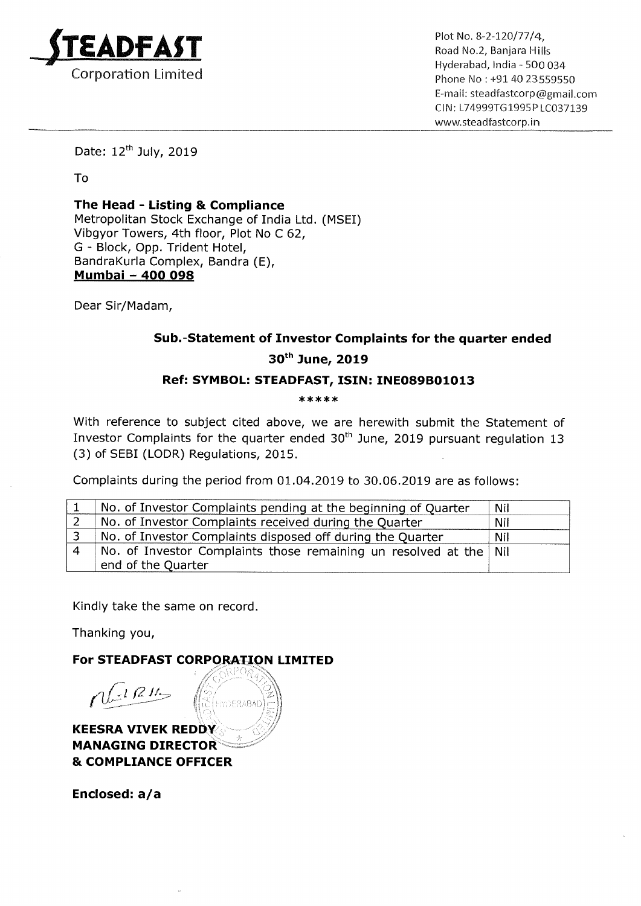

 $ADFAST$ <br>Plot No. 8-2-120/77/4,<br>Road No.2, Banjara Hills . . Hyderabad, India <sup>~</sup> 500 034 Phone No: +91 40 23559550 E—mail: steadfastcorp@gmail.com Cl N: L74999T61995P LC037139 www.steadfastcorp.in

Date: 12<sup>th</sup> July, 2019

To

The Head - Listing & Compliance Metropolitan Stock Exchange of India Ltd. (MSEI) Vibgyor Towers, 4th floor, Plot No <sup>C</sup> 62, G — Block, Opp. Trident Hotel, BandraKurla Complex, Bandra (E), Mumbai — 400 098

Dear Sir/Madam,

## Sub.—Statement of Investor Complaints for the quarter ended 30th June, 2019

## Ref: SYMBOL: STEADFAST, ISIN: INE089B01013

\*\*\*\*\*

With reference to subject cited above, we are herewith submit the Statement of Investor Complaints for the quarter ended  $30<sup>th</sup>$  June, 2019 pursuant regulation 13 (3) of SEBI (LODR) Regulations, 2015.

Complaints during the period from 01.04.2019 to 30.06.2019 are as follows:

| No. of Investor Complaints pending at the beginning of Quarter      | <b>Nil</b> |
|---------------------------------------------------------------------|------------|
| No. of Investor Complaints received during the Quarter              | Nil        |
| No. of Investor Complaints disposed off during the Quarter          | Nil        |
| No. of Investor Complaints those remaining un resolved at the   Nil |            |
| end of the Quarter                                                  |            |

Kindly take the same on record.

Thanking you,

For STEADFAST CORPORATION LIMITED

/  $n(18)$ HYDERABA Arr- **KEESRA VIVEK REDDY** MANAGING DIRECTOR & COMPLIANCE OFFICER

Enclosed: a/a